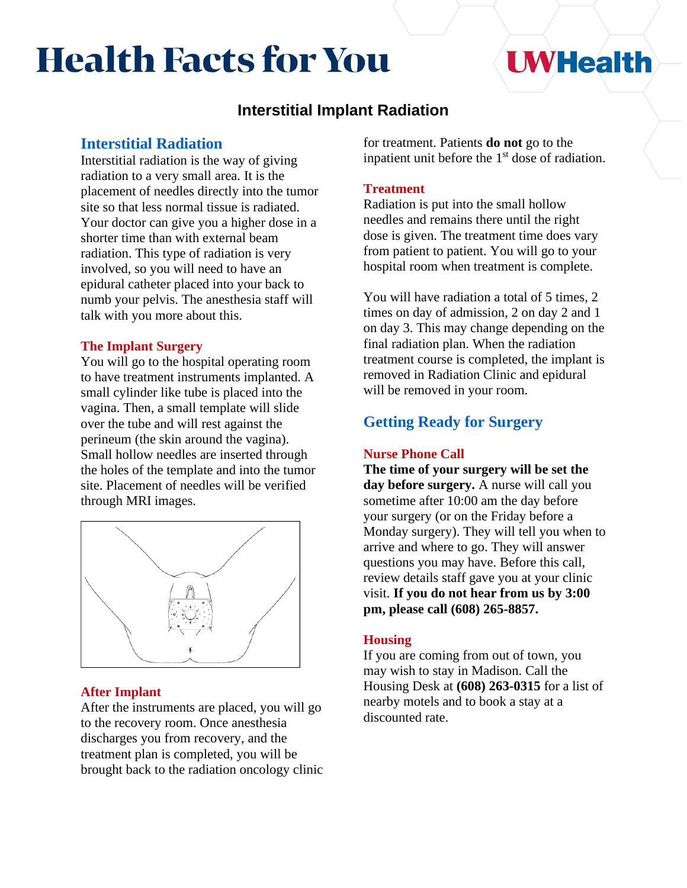# **Health Facts for You**

# **I WHealth**

# **Interstitial Implant Radiation**

# **Interstitial Radiation**

Interstitial radiation is the way of giving radiation to a very small area. It is the placement of needles directly into the tumor site so that less normal tissue is radiated. Your doctor can give you a higher dose in a shorter time than with external beam radiation. This type of radiation is very involved, so you will need to have an epidural catheter placed into your back to numb your pelvis. The anesthesia staff will talk with you more about this.

# **The Implant Surgery**

You will go to the hospital operating room to have treatment instruments implanted. A small cylinder like tube is placed into the vagina. Then, a small template will slide over the tube and will rest against the perineum (the skin around the vagina). Small hollow needles are inserted through the holes of the template and into the tumor site. Placement of needles will be verified through MRI images.



# **After Implant**

After the instruments are placed, you will go to the recovery room. Once anesthesia discharges you from recovery, and the treatment plan is completed, you will be brought back to the radiation oncology clinic for treatment. Patients **do not** go to the inpatient unit before the  $1<sup>st</sup>$  dose of radiation.

# **Treatment**

Radiation is put into the small hollow needles and remains there until the right dose is given. The treatment time does vary from patient to patient. You will go to your hospital room when treatment is complete.

You will have radiation a total of 5 times, 2 times on day of admission, 2 on day 2 and 1 on day 3. This may change depending on the final radiation plan. When the radiation treatment course is completed, the implant is removed in Radiation Clinic and epidural will be removed in your room.

# **Getting Ready for Surgery**

## **Nurse Phone Call**

**The time of your surgery will be set the day before surgery.** A nurse will call you sometime after 10:00 am the day before your surgery (or on the Friday before a Monday surgery). They will tell you when to arrive and where to go. They will answer questions you may have. Before this call, review details staff gave you at your clinic visit. **If you do not hear from us by 3:00 pm, please call (608) 265-8857.**

# **Housing**

If you are coming from out of town, you may wish to stay in Madison. Call the Housing Desk at **(608) 263-0315** for a list of nearby motels and to book a stay at a discounted rate.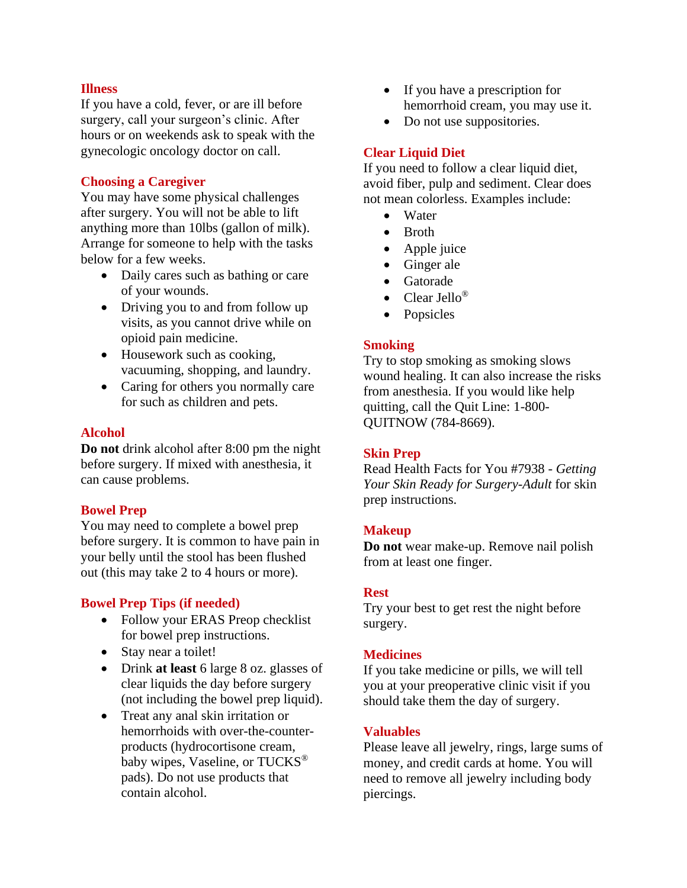#### **Illness**

If you have a cold, fever, or are ill before surgery, call your surgeon's clinic. After hours or on weekends ask to speak with the gynecologic oncology doctor on call.

#### **Choosing a Caregiver**

You may have some physical challenges after surgery. You will not be able to lift anything more than 10lbs (gallon of milk). Arrange for someone to help with the tasks below for a few weeks.

- Daily cares such as bathing or care of your wounds.
- Driving you to and from follow up visits, as you cannot drive while on opioid pain medicine.
- Housework such as cooking, vacuuming, shopping, and laundry.
- Caring for others you normally care for such as children and pets.

#### **Alcohol**

**Do not** drink alcohol after 8:00 pm the night before surgery. If mixed with anesthesia, it can cause problems.

#### **Bowel Prep**

You may need to complete a bowel prep before surgery. It is common to have pain in your belly until the stool has been flushed out (this may take 2 to 4 hours or more).

#### **Bowel Prep Tips (if needed)**

- Follow your ERAS Preop checklist for bowel prep instructions.
- Stay near a toilet!
- Drink **at least** 6 large 8 oz. glasses of clear liquids the day before surgery (not including the bowel prep liquid).
- Treat any anal skin irritation or hemorrhoids with over-the-counterproducts (hydrocortisone cream, baby wipes, Vaseline, or TUCKS<sup>®</sup> pads). Do not use products that contain alcohol.
- If you have a prescription for hemorrhoid cream, you may use it.
- Do not use suppositories.

## **Clear Liquid Diet**

If you need to follow a clear liquid diet, avoid fiber, pulp and sediment. Clear does not mean colorless. Examples include:

- Water
- Broth
- Apple juice
- Ginger ale
- Gatorade
- Clear Jello<sup>®</sup>
- Popsicles

## **Smoking**

Try to stop smoking as smoking slows wound healing. It can also increase the risks from anesthesia. If you would like help quitting, call the Quit Line: 1-800- QUITNOW (784-8669).

## **Skin Prep**

Read Health Facts for You #7938 - *Getting Your Skin Ready for Surgery-Adult* for skin prep instructions.

#### **Makeup**

**Do not** wear make-up. Remove nail polish from at least one finger.

#### **Rest**

Try your best to get rest the night before surgery.

#### **Medicines**

If you take medicine or pills, we will tell you at your preoperative clinic visit if you should take them the day of surgery.

## **Valuables**

Please leave all jewelry, rings, large sums of money, and credit cards at home. You will need to remove all jewelry including body piercings.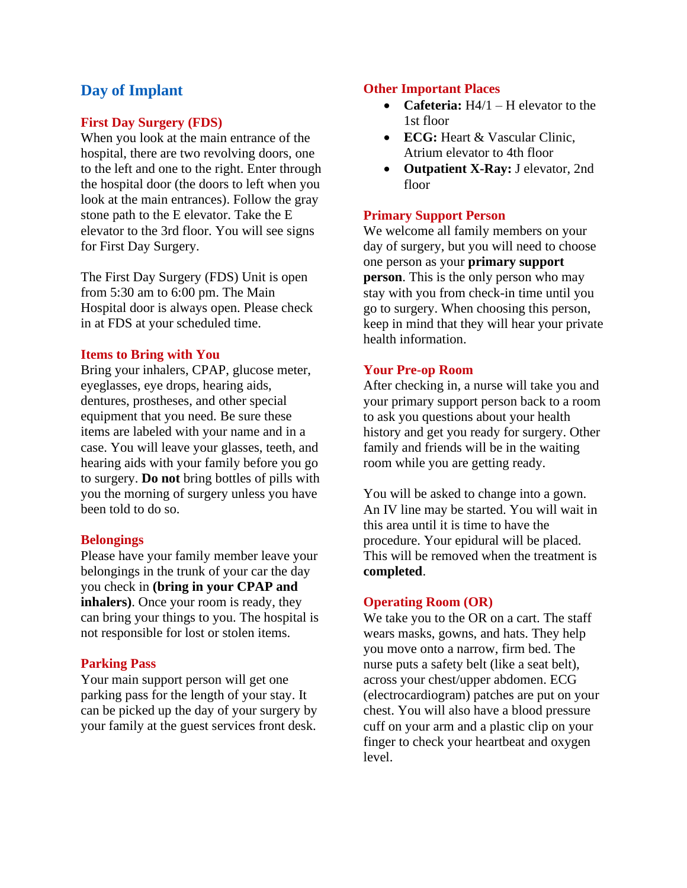# **Day of Implant**

#### **First Day Surgery (FDS)**

When you look at the main entrance of the hospital, there are two revolving doors, one to the left and one to the right. Enter through the hospital door (the doors to left when you look at the main entrances). Follow the gray stone path to the E elevator. Take the E elevator to the 3rd floor. You will see signs for First Day Surgery.

The First Day Surgery (FDS) Unit is open from 5:30 am to 6:00 pm. The Main Hospital door is always open. Please check in at FDS at your scheduled time.

#### **Items to Bring with You**

Bring your inhalers, CPAP, glucose meter, eyeglasses, eye drops, hearing aids, dentures, prostheses, and other special equipment that you need. Be sure these items are labeled with your name and in a case. You will leave your glasses, teeth, and hearing aids with your family before you go to surgery. **Do not** bring bottles of pills with you the morning of surgery unless you have been told to do so.

#### **Belongings**

Please have your family member leave your belongings in the trunk of your car the day you check in **(bring in your CPAP and inhalers)**. Once your room is ready, they can bring your things to you. The hospital is not responsible for lost or stolen items.

#### **Parking Pass**

Your main support person will get one parking pass for the length of your stay. It can be picked up the day of your surgery by your family at the guest services front desk.

#### **Other Important Places**

- **Cafeteria:** H4/1 H elevator to the 1st floor
- **ECG:** Heart & Vascular Clinic, Atrium elevator to 4th floor
- **Outpatient X-Ray:** J elevator, 2nd floor

## **Primary Support Person**

We welcome all family members on your day of surgery, but you will need to choose one person as your **primary support person**. This is the only person who may stay with you from check-in time until you go to surgery. When choosing this person, keep in mind that they will hear your private health information.

#### **Your Pre-op Room**

After checking in, a nurse will take you and your primary support person back to a room to ask you questions about your health history and get you ready for surgery. Other family and friends will be in the waiting room while you are getting ready.

You will be asked to change into a gown. An IV line may be started. You will wait in this area until it is time to have the procedure. Your epidural will be placed. This will be removed when the treatment is **completed**.

#### **Operating Room (OR)**

We take you to the OR on a cart. The staff wears masks, gowns, and hats. They help you move onto a narrow, firm bed. The nurse puts a safety belt (like a seat belt), across your chest/upper abdomen. ECG (electrocardiogram) patches are put on your chest. You will also have a blood pressure cuff on your arm and a plastic clip on your finger to check your heartbeat and oxygen level.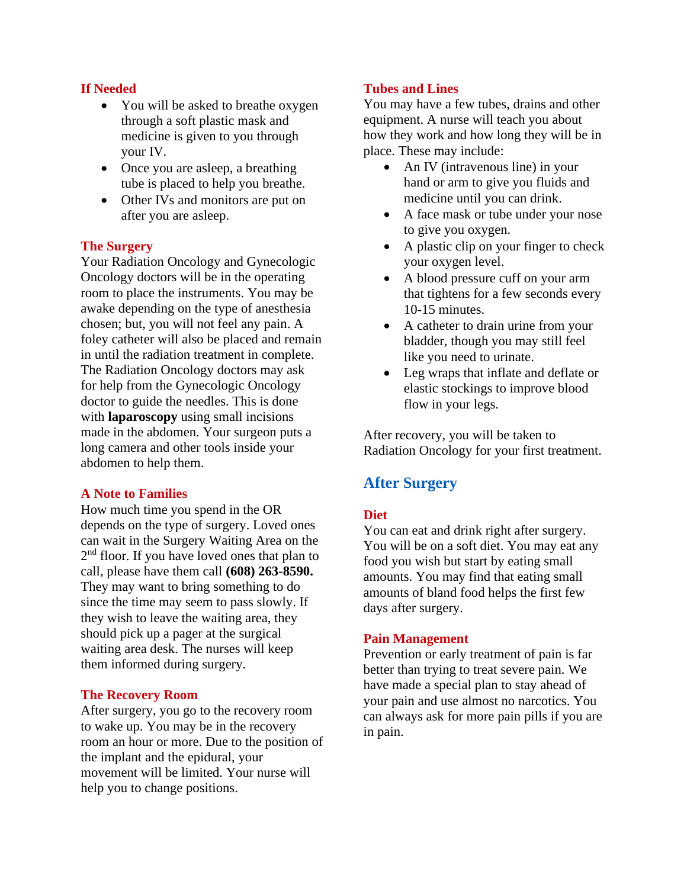# **If Needed**

- You will be asked to breathe oxygen through a soft plastic mask and medicine is given to you through your IV.
- Once you are asleep, a breathing tube is placed to help you breathe.
- Other IVs and monitors are put on after you are asleep.

## **The Surgery**

Your Radiation Oncology and Gynecologic Oncology doctors will be in the operating room to place the instruments. You may be awake depending on the type of anesthesia chosen; but, you will not feel any pain. A foley catheter will also be placed and remain in until the radiation treatment in complete. The Radiation Oncology doctors may ask for help from the Gynecologic Oncology doctor to guide the needles. This is done with **laparoscopy** using small incisions made in the abdomen. Your surgeon puts a long camera and other tools inside your abdomen to help them.

## **A Note to Families**

How much time you spend in the OR depends on the type of surgery. Loved ones can wait in the Surgery Waiting Area on the 2<sup>nd</sup> floor. If you have loved ones that plan to call, please have them call **(608) 263-8590.**  They may want to bring something to do since the time may seem to pass slowly. If they wish to leave the waiting area, they should pick up a pager at the surgical waiting area desk. The nurses will keep them informed during surgery.

## **The Recovery Room**

After surgery, you go to the recovery room to wake up. You may be in the recovery room an hour or more. Due to the position of the implant and the epidural, your movement will be limited. Your nurse will help you to change positions.

# **Tubes and Lines**

You may have a few tubes, drains and other equipment. A nurse will teach you about how they work and how long they will be in place. These may include:

- An IV (intravenous line) in your hand or arm to give you fluids and medicine until you can drink.
- A face mask or tube under your nose to give you oxygen.
- A plastic clip on your finger to check your oxygen level.
- A blood pressure cuff on your arm that tightens for a few seconds every 10-15 minutes.
- A catheter to drain urine from your bladder, though you may still feel like you need to urinate.
- Leg wraps that inflate and deflate or elastic stockings to improve blood flow in your legs.

After recovery, you will be taken to Radiation Oncology for your first treatment.

# **After Surgery**

# **Diet**

You can eat and drink right after surgery. You will be on a soft diet. You may eat any food you wish but start by eating small amounts. You may find that eating small amounts of bland food helps the first few days after surgery.

## **Pain Management**

Prevention or early treatment of pain is far better than trying to treat severe pain. We have made a special plan to stay ahead of your pain and use almost no narcotics. You can always ask for more pain pills if you are in pain.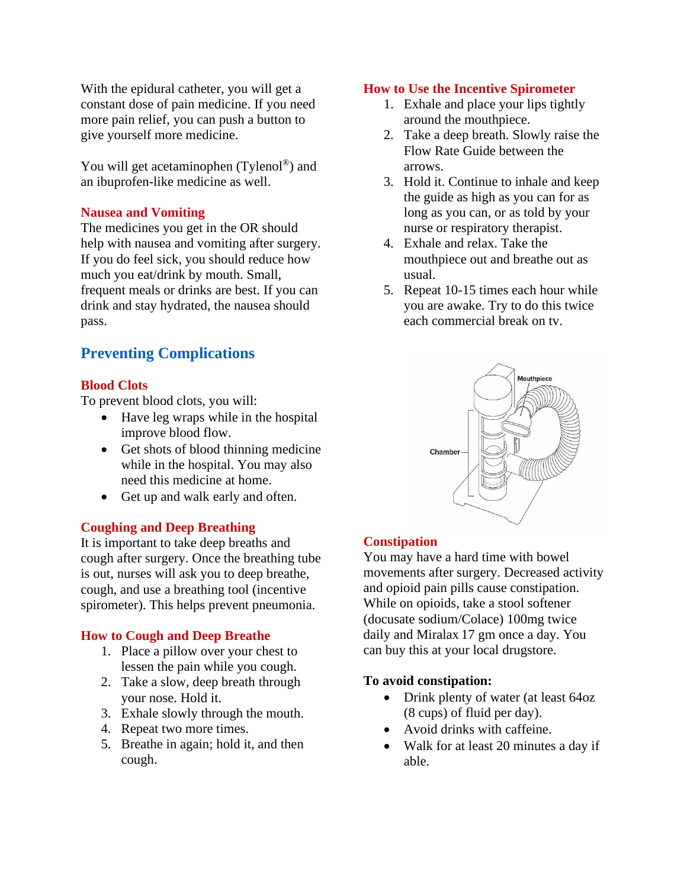With the epidural catheter, you will get a constant dose of pain medicine. If you need more pain relief, you can push a button to give yourself more medicine.

You will get acetaminophen (Tylenol<sup>®</sup>) and an ibuprofen-like medicine as well.

# **Nausea and Vomiting**

The medicines you get in the OR should help with nausea and vomiting after surgery. If you do feel sick, you should reduce how much you eat/drink by mouth. Small, frequent meals or drinks are best. If you can drink and stay hydrated, the nausea should pass.

# **Preventing Complications**

# **Blood Clots**

To prevent blood clots, you will:

- Have leg wraps while in the hospital improve blood flow.
- Get shots of blood thinning medicine while in the hospital. You may also need this medicine at home.
- Get up and walk early and often.

## **Coughing and Deep Breathing**

It is important to take deep breaths and cough after surgery. Once the breathing tube is out, nurses will ask you to deep breathe, cough, and use a breathing tool (incentive spirometer). This helps prevent pneumonia.

## **How to Cough and Deep Breathe**

- 1. Place a pillow over your chest to lessen the pain while you cough.
- 2. Take a slow, deep breath through your nose. Hold it.
- 3. Exhale slowly through the mouth.
- 4. Repeat two more times.
- 5. Breathe in again; hold it, and then cough.

#### **How to Use the Incentive Spirometer**

- 1. Exhale and place your lips tightly around the mouthpiece.
- 2. Take a deep breath. Slowly raise the Flow Rate Guide between the arrows.
- 3. Hold it. Continue to inhale and keep the guide as high as you can for as long as you can, or as told by your nurse or respiratory therapist.
- 4. Exhale and relax. Take the mouthpiece out and breathe out as usual.
- 5. Repeat 10-15 times each hour while you are awake. Try to do this twice each commercial break on tv.



## **Constipation**

You may have a hard time with bowel movements after surgery. Decreased activity and opioid pain pills cause constipation. While on opioids, take a stool softener (docusate sodium/Colace) 100mg twice daily and Miralax 17 gm once a day. You can buy this at your local drugstore.

## **To avoid constipation:**

- Drink plenty of water (at least 64oz (8 cups) of fluid per day).
- Avoid drinks with caffeine.
- Walk for at least 20 minutes a day if able.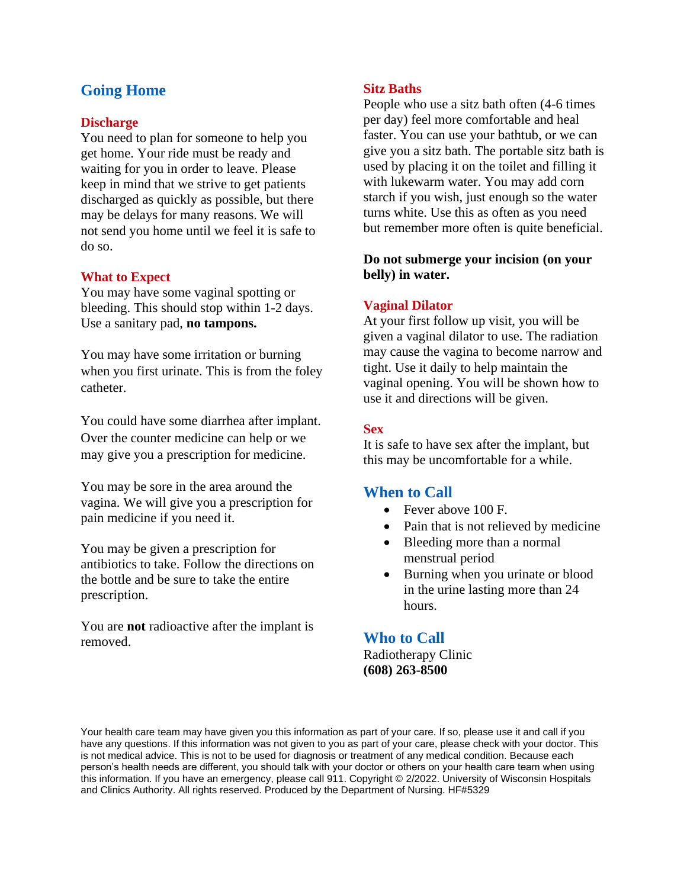# **Going Home**

#### **Discharge**

You need to plan for someone to help you get home. Your ride must be ready and waiting for you in order to leave. Please keep in mind that we strive to get patients discharged as quickly as possible, but there may be delays for many reasons. We will not send you home until we feel it is safe to do so.

#### **What to Expect**

You may have some vaginal spotting or bleeding. This should stop within 1-2 days. Use a sanitary pad, **no tampons.**

You may have some irritation or burning when you first urinate. This is from the foley catheter.

You could have some diarrhea after implant. Over the counter medicine can help or we may give you a prescription for medicine.

You may be sore in the area around the vagina. We will give you a prescription for pain medicine if you need it.

You may be given a prescription for antibiotics to take. Follow the directions on the bottle and be sure to take the entire prescription.

You are **not** radioactive after the implant is removed.

#### **Sitz Baths**

People who use a sitz bath often (4-6 times per day) feel more comfortable and heal faster. You can use your bathtub, or we can give you a sitz bath. The portable sitz bath is used by placing it on the toilet and filling it with lukewarm water. You may add corn starch if you wish, just enough so the water turns white. Use this as often as you need but remember more often is quite beneficial.

# **Do not submerge your incision (on your belly) in water.**

#### **Vaginal Dilator**

At your first follow up visit, you will be given a vaginal dilator to use. The radiation may cause the vagina to become narrow and tight. Use it daily to help maintain the vaginal opening. You will be shown how to use it and directions will be given.

#### **Sex**

It is safe to have sex after the implant, but this may be uncomfortable for a while.

# **When to Call**

- Fever above 100 F.
- Pain that is not relieved by medicine
- Bleeding more than a normal menstrual period
- Burning when you urinate or blood in the urine lasting more than 24 hours.

# **Who to Call**

Radiotherapy Clinic **(608) 263-8500**

Your health care team may have given you this information as part of your care. If so, please use it and call if you have any questions. If this information was not given to you as part of your care, please check with your doctor. This is not medical advice. This is not to be used for diagnosis or treatment of any medical condition. Because each person's health needs are different, you should talk with your doctor or others on your health care team when using this information. If you have an emergency, please call 911. Copyright © 2/2022. University of Wisconsin Hospitals and Clinics Authority. All rights reserved. Produced by the Department of Nursing. HF#5329